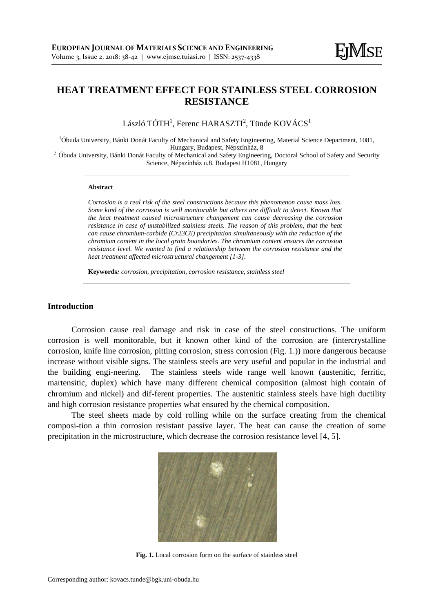# **HEAT TREATMENT EFFECT FOR STAINLESS STEEL CORROSION RESISTANCE**

László TÓTH<sup>1</sup>, Ferenc HARASZTI<sup>2</sup>, Tünde KOVÁCS<sup>1</sup>

<sup>1</sup>Óbuda University, Bánki Donát Faculty of Mechanical and Safety Engineering, Material Science Department, 1081, Hungary, Budapest, Népszínház, 8 <sup>2</sup> Óbuda University, Bánki Donát Faculty of Mechanical and Safety Engineering, Doctoral School of Safety and Security

Science, Népszínház u.8. Budapest H1081, Hungary

#### **Abstract**

*Corrosion is a real risk of the steel constructions because this phenomenon cause mass loss. Some kind of the corrosion is well monitorable but others are difficult to detect. Known that the heat treatment caused microstructure changement can cause decreasing the corrosion resistance in case of unstabilized stainless steels. The reason of this problem, that the heat can cause chromium-carbide (Cr23C6) precipitation simultaneously with the reduction of the chromium content in the local grain boundaries. The chromium content ensures the corrosion resistance level. We wanted to find a relationship between the corrosion resistance and the heat treatment affected microstructural changement [1-3].*

**Keywords***: corrosion, precipitation, corrosion resistance, stainless steel* 

### **Introduction**

Corrosion cause real damage and risk in case of the steel constructions. The uniform corrosion is well monitorable, but it known other kind of the corrosion are (intercrystalline corrosion, knife line corrosion, pitting corrosion, stress corrosion (Fig. 1.)) more dangerous because increase without visible signs. The stainless steels are very useful and popular in the industrial and the building engi-neering. The stainless steels wide range well known (austenitic, ferritic, martensitic, duplex) which have many different chemical composition (almost high contain of chromium and nickel) and dif-ferent properties. The austenitic stainless steels have high ductility and high corrosion resistance properties what ensured by the chemical composition.

The steel sheets made by cold rolling while on the surface creating from the chemical composi-tion a thin corrosion resistant passive layer. The heat can cause the creation of some precipitation in the microstructure, which decrease the corrosion resistance level [4, 5].



**Fig. 1.** Local corrosion form on the surface of stainless steel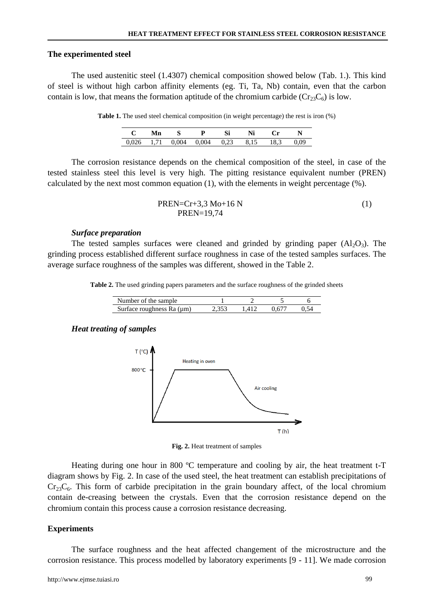#### **The experimented steel**

The used austenitic steel (1.4307) chemical composition showed below (Tab. 1.). This kind of steel is without high carbon affinity elements (eg. Ti, Ta, Nb) contain, even that the carbon contain is low, that means the formation aptitude of the chromium carbide ( $Cr<sub>23</sub>C<sub>6</sub>$ ) is low.

**Table 1.** The used steel chemical composition (in weight percentage) the rest is iron (%)

| <b>Mn</b> | $\mathbf{s}$ |                                                | <b>Ni</b> | $^{\circ}$ |  |
|-----------|--------------|------------------------------------------------|-----------|------------|--|
|           |              | $0.026$ 1.71 $0.004$ 0.004 0.23 8.15 18.3 0.09 |           |            |  |

The corrosion resistance depends on the chemical composition of the steel, in case of the tested stainless steel this level is very high. The pitting resistance equivalent number (PREN) calculated by the next most common equation (1), with the elements in weight percentage (%).

PREN=Cr+3,3 Mo+16 N (1) PREN=19,74

#### *Surface preparation*

The tested samples surfaces were cleaned and grinded by grinding paper  $(A_2O_3)$ . The grinding process established different surface roughness in case of the tested samples surfaces. The average surface roughness of the samples was different, showed in the Table 2.

**Table 2.** The used grinding papers parameters and the surface roughness of the grinded sheets

| Number of the sample           |  |  |
|--------------------------------|--|--|
| Surface roughness Ra $(\mu m)$ |  |  |

## *Heat treating of samples*



**Fig. 2.** Heat treatment of samples

Heating during one hour in 800 ºC temperature and cooling by air, the heat treatment t-T diagram shows by Fig. 2. In case of the used steel, the heat treatment can establish precipitations of  $Cr_{23}C_6$ . This form of carbide precipitation in the grain boundary affect, of the local chromium contain de-creasing between the crystals. Even that the corrosion resistance depend on the chromium contain this process cause a corrosion resistance decreasing.

## **Experiments**

The surface roughness and the heat affected changement of the microstructure and the corrosion resistance. This process modelled by laboratory experiments [9 - 11]. We made corrosion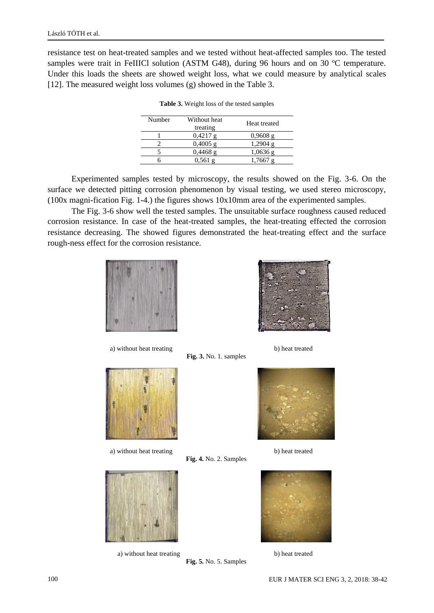resistance test on heat-treated samples and we tested without heat-affected samples too. The tested samples were trait in FeIIICl solution (ASTM G48), during 96 hours and on 30 °C temperature. Under this loads the sheets are showed weight loss, what we could measure by analytical scales [12]. The measured weight loss volumes (g) showed in the Table 3.

| Number | Without heat<br>treating | Heat treated |
|--------|--------------------------|--------------|
|        | $0,4217$ g               | $0,9608$ g   |
|        | $0,4005 \text{ g}$       | $1,2904$ g   |
|        | $0,4468$ g               | $1,0636$ g   |
|        | 0.561g                   |              |

**Table 3.** Weight loss of the tested samples

Experimented samples tested by microscopy, the results showed on the Fig. 3-6. On the surface we detected pitting corrosion phenomenon by visual testing, we used stereo microscopy, (100x magni-fication Fig. 1-4.) the figures shows 10x10mm area of the experimented samples.

The Fig. 3-6 show well the tested samples. The unsuitable surface roughness caused reduced corrosion resistance. In case of the heat-treated samples, the heat-treating effected the corrosion resistance decreasing. The showed figures demonstrated the heat-treating effect and the surface rough-ness effect for the corrosion resistance.

**Fig. 3.** No. 1. samples

**Fig. 4.** No. 2. Samples



a) without heat treating b) heat treated



a) without heat treating b) heat treated



a) without heat treating b) heat treated





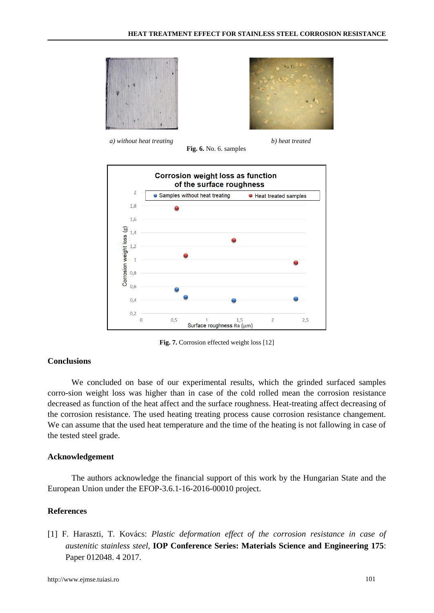



*a) without heat treating b) heat treated*

**Fig. 6.** No. 6. samples



**Fig. 7.** Corrosion effected weight loss [12]

## **Conclusions**

We concluded on base of our experimental results, which the grinded surfaced samples corro-sion weight loss was higher than in case of the cold rolled mean the corrosion resistance decreased as function of the heat affect and the surface roughness. Heat-treating affect decreasing of the corrosion resistance. The used heating treating process cause corrosion resistance changement. We can assume that the used heat temperature and the time of the heating is not fallowing in case of the tested steel grade.

#### **Acknowledgement**

The authors acknowledge the financial support of this work by the Hungarian State and the European Union under the EFOP-3.6.1-16-2016-00010 project.

## **References**

[1] F. Haraszti, T. Kovács: *Plastic deformation effect of the corrosion resistance in case of austenitic stainless steel*, **IOP Conference Series: Materials Science and Engineering 175**: Paper 012048. 4 2017.